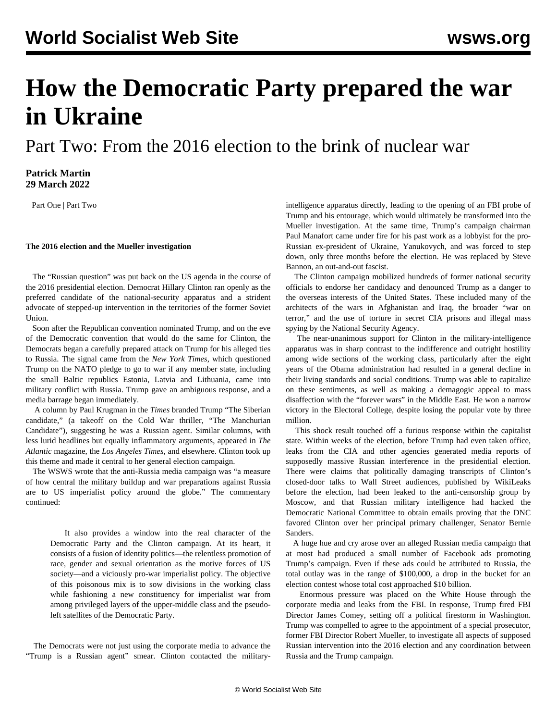# **How the Democratic Party prepared the war in Ukraine**

Part Two: From the 2016 election to the brink of nuclear war

### **Patrick Martin 29 March 2022**

[Part One](/en/articles/2022/03/28/dphs-m28.html) | [Part Two](/en/articles/2022/03/29/dem2-m29.html)

#### **The 2016 election and the Mueller investigation**

 The "Russian question" was put back on the US agenda in the course of the 2016 presidential election. Democrat Hillary Clinton ran openly as the preferred candidate of the national-security apparatus and a strident advocate of stepped-up intervention in the territories of the former Soviet Union.

 Soon after the Republican convention nominated Trump, and on the eve of the Democratic convention that would do the same for Clinton, the Democrats began a carefully prepared attack on Trump for his alleged ties to Russia. The signal came from the *New York Times*, which questioned Trump on the NATO pledge to go to war if any member state, including the small Baltic republics Estonia, Latvia and Lithuania, came into military conflict with Russia. Trump gave an ambiguous response, and a media barrage began immediately.

 A column by Paul Krugman in the *Times* branded Trump "The Siberian candidate," (a takeoff on the Cold War thriller, "The Manchurian Candidate"), suggesting he was a Russian agent. Similar columns, with less lurid headlines but equally inflammatory arguments, appeared in *The Atlantic* magazine, the *Los Angeles Times*, and elsewhere. Clinton took up this theme and made it central to her general election campaign.

 The WSWS [wrote](/en/articles/2016/07/23/pers-j23.html) that the anti-Russia media campaign was "a measure of how central the military buildup and war preparations against Russia are to US imperialist policy around the globe." The commentary continued:

 It also provides a window into the real character of the Democratic Party and the Clinton campaign. At its heart, it consists of a fusion of identity politics—the relentless promotion of race, gender and sexual orientation as the motive forces of US society—and a viciously pro-war imperialist policy. The objective of this poisonous mix is to sow divisions in the working class while fashioning a new constituency for imperialist war from among privileged layers of the upper-middle class and the pseudoleft satellites of the Democratic Party.

 The Democrats were not just using the corporate media to advance the "Trump is a Russian agent" smear. Clinton contacted the militaryintelligence apparatus directly, leading to the opening of an FBI probe of Trump and his entourage, which would ultimately be transformed into the Mueller investigation. At the same time, Trump's campaign chairman Paul Manafort came under fire for his past work as a lobbyist for the pro-Russian ex-president of Ukraine, Yanukovych, and was forced to step down, only three months before the election. He was replaced by Steve Bannon, an out-and-out fascist.

 The Clinton campaign mobilized hundreds of former national security officials to endorse her candidacy and denounced Trump as a danger to the overseas interests of the United States. These included many of the architects of the wars in Afghanistan and Iraq, the broader "war on terror," and the use of torture in secret CIA prisons and illegal mass spying by the National Security Agency.

 The near-unanimous support for Clinton in the military-intelligence apparatus was in sharp contrast to the indifference and outright hostility among wide sections of the working class, particularly after the eight years of the Obama administration had resulted in a general decline in their living standards and social conditions. Trump was able to capitalize on these sentiments, as well as making a demagogic appeal to mass disaffection with the "forever wars" in the Middle East. He won a narrow victory in the Electoral College, despite losing the popular vote by three million.

 This shock result touched off a furious response within the capitalist state. Within weeks of the election, before Trump had even taken office, leaks from the CIA and other agencies generated media reports of supposedly massive Russian interference in the presidential election. There were claims that politically damaging transcripts of Clinton's closed-door talks to Wall Street audiences, published by WikiLeaks before the election, had been leaked to the anti-censorship group by Moscow, and that Russian military intelligence had hacked the Democratic National Committee to obtain emails proving that the DNC favored Clinton over her principal primary challenger, Senator Bernie Sanders.

 A huge hue and cry arose over an alleged Russian media campaign that at most had produced a small number of Facebook ads promoting Trump's campaign. Even if these ads could be attributed to Russia, the total outlay was in the range of \$100,000, a drop in the bucket for an election contest whose total cost approached \$10 billion.

 Enormous pressure was placed on the White House through the corporate media and leaks from the FBI. In response, Trump fired FBI Director James Comey, setting off a political firestorm in Washington. Trump was compelled to agree to the appointment of a special prosecutor, former FBI Director Robert Mueller, to investigate all aspects of supposed Russian intervention into the 2016 election and any coordination between Russia and the Trump campaign.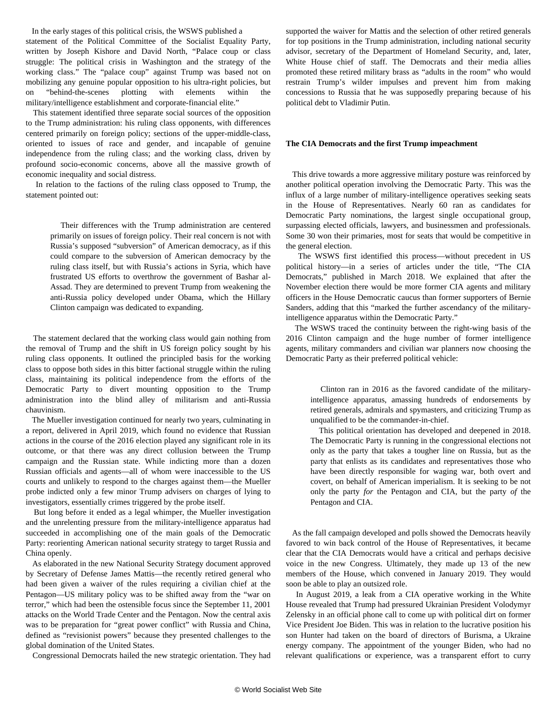In the early stages of this political crisis, the WSWS published a statement of the Political Committee of the Socialist Equality Party, written by Joseph Kishore and David North, "[Palace coup or class](/en/articles/2017/06/13/pers-j13.html) [struggle: The political crisis in Washington and the strategy of the](/en/articles/2017/06/13/pers-j13.html) [working class."](/en/articles/2017/06/13/pers-j13.html) The "palace coup" against Trump was based not on mobilizing any genuine popular opposition to his ultra-right policies, but on "behind-the-scenes plotting with elements within the military/intelligence establishment and corporate-financial elite."

 This statement identified three separate social sources of the opposition to the Trump administration: his ruling class opponents, with differences centered primarily on foreign policy; sections of the upper-middle-class, oriented to issues of race and gender, and incapable of genuine independence from the ruling class; and the working class, driven by profound socio-economic concerns, above all the massive growth of economic inequality and social distress.

 In relation to the factions of the ruling class opposed to Trump, the statement pointed out:

 Their differences with the Trump administration are centered primarily on issues of foreign policy. Their real concern is not with Russia's supposed "subversion" of American democracy, as if this could compare to the subversion of American democracy by the ruling class itself, but with Russia's actions in Syria, which have frustrated US efforts to overthrow the government of Bashar al-Assad. They are determined to prevent Trump from weakening the anti-Russia policy developed under Obama, which the Hillary Clinton campaign was dedicated to expanding.

 The statement declared that the working class would gain nothing from the removal of Trump and the shift in US foreign policy sought by his ruling class opponents. It outlined the principled basis for the working class to oppose both sides in this bitter factional struggle within the ruling class, maintaining its political independence from the efforts of the Democratic Party to divert mounting opposition to the Trump administration into the blind alley of militarism and anti-Russia chauvinism.

 The Mueller investigation continued for nearly two years, culminating in a report, delivered in April 2019, which found no evidence that Russian actions in the course of the 2016 election played any significant role in its outcome, or that there was any direct collusion between the Trump campaign and the Russian state. While indicting more than a dozen Russian officials and agents—all of whom were inaccessible to the US courts and unlikely to respond to the charges against them—the Mueller probe indicted only a few minor Trump advisers on charges of lying to investigators, essentially crimes triggered by the probe itself.

 But long before it ended as a legal whimper, the Mueller investigation and the unrelenting pressure from the military-intelligence apparatus had succeeded in accomplishing one of the main goals of the Democratic Party: reorienting American national security strategy to target Russia and China openly.

 As elaborated in the new [National Security Strategy document](/en/articles/2018/01/20/ndst-j20.html) approved by Secretary of Defense James Mattis—the recently retired general who had been given a waiver of the rules requiring a civilian chief at the Pentagon—US military policy was to be shifted away from the "war on terror," which had been the ostensible focus since the September 11, 2001 attacks on the World Trade Center and the Pentagon. Now the central axis was to be preparation for "great power conflict" with Russia and China, defined as "revisionist powers" because they presented challenges to the global domination of the United States.

Congressional Democrats hailed the new strategic orientation. They had

supported the waiver for Mattis and the selection of other retired generals for top positions in the Trump administration, including national security advisor, secretary of the Department of Homeland Security, and, later, White House chief of staff. The Democrats and their media allies promoted these retired military brass as "adults in the room" who would restrain Trump's wilder impulses and prevent him from making concessions to Russia that he was supposedly preparing because of his political debt to Vladimir Putin.

#### **The CIA Democrats and the first Trump impeachment**

 This drive towards a more aggressive military posture was reinforced by another political operation involving the Democratic Party. This was the influx of a large number of military-intelligence operatives seeking seats in the House of Representatives. Nearly 60 ran as candidates for Democratic Party nominations, the largest single occupational group, surpassing elected officials, lawyers, and businessmen and professionals. Some 30 won their primaries, most for seats that would be competitive in the general election.

 The WSWS first identified this process—without precedent in US political history—in a series of articles under the title, ["The CIA](/en/articles/2018/03/07/dems-m07.html) [Democrats](/en/articles/2018/03/07/dems-m07.html)," published in March 2018. We explained that after the November election there would be more former CIA agents and military officers in the House Democratic caucus than former supporters of Bernie Sanders, adding that this "marked the further ascendancy of the militaryintelligence apparatus within the Democratic Party."

 The WSWS traced the continuity between the right-wing basis of the 2016 Clinton campaign and the huge number of former intelligence agents, military commanders and civilian war planners now choosing the Democratic Party as their preferred political vehicle:

 Clinton ran in 2016 as the favored candidate of the militaryintelligence apparatus, amassing hundreds of endorsements by retired generals, admirals and spymasters, and criticizing Trump as unqualified to be the commander-in-chief.

 This political orientation has developed and deepened in 2018. The Democratic Party is running in the congressional elections not only as the party that takes a tougher line on Russia, but as the party that enlists as its candidates and representatives those who have been directly responsible for waging war, both overt and covert, on behalf of American imperialism. It is seeking to be not only the party *for* the Pentagon and CIA, but the party *of* the Pentagon and CIA.

 As the fall campaign developed and polls showed the Democrats heavily favored to win back control of the House of Representatives, it became clear that the CIA Democrats would have a critical and perhaps decisive voice in the new Congress. Ultimately, they made up 13 of the new members of the House, which convened in January 2019. They would soon be able to play an outsized role.

 In August 2019, a leak from a CIA operative working in the White House revealed that Trump had pressured Ukrainian President Volodymyr Zelensky in an official phone call to come up with political dirt on former Vice President Joe Biden. This was in relation to the lucrative position his son Hunter had taken on the board of directors of Burisma, a Ukraine energy company. The appointment of the younger Biden, who had no relevant qualifications or experience, was a transparent effort to curry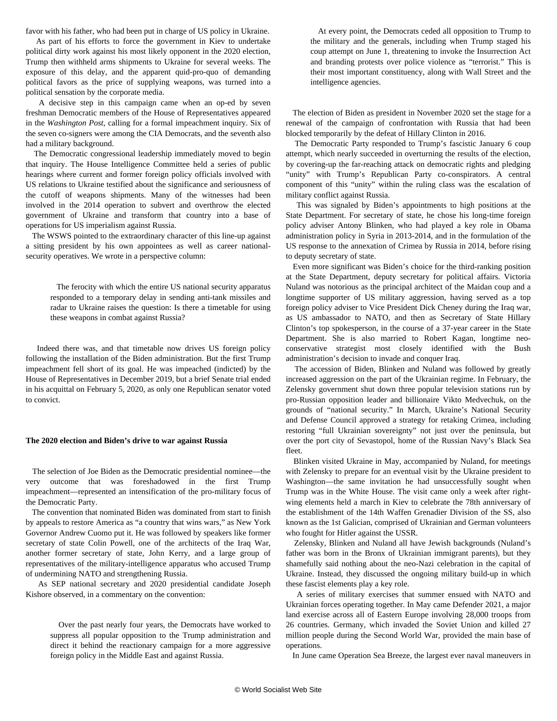favor with his father, who had been put in charge of US policy in Ukraine.

 As part of his efforts to force the government in Kiev to undertake political dirty work against his most likely opponent in the 2020 election, Trump then withheld arms shipments to Ukraine for several weeks. The exposure of this delay, and the apparent quid-pro-quo of demanding political favors as the price of supplying weapons, was turned into a political sensation by the corporate media.

 A decisive step in this campaign came when an op-ed by seven freshman Democratic members of the House of Representatives appeared in the *Washington Post*, calling for a formal impeachment inquiry. Six of the seven co-signers were among the CIA Democrats, and the seventh also had a military background.

 The Democratic congressional leadership immediately moved to begin that inquiry. The House Intelligence Committee held a series of public hearings where current and former foreign policy officials involved with US relations to Ukraine testified about the significance and seriousness of the cutoff of weapons shipments. Many of the witnesses had been involved in the 2014 operation to subvert and overthrow the elected government of Ukraine and transform that country into a base of operations for US imperialism against Russia.

 The WSWS pointed to the extraordinary character of this line-up against a sitting president by his own appointees as well as career nationalsecurity operatives. We wrote in a [perspective](/en/articles/2019/12/31/pers-d31.html) column:

 The ferocity with which the entire US national security apparatus responded to a temporary delay in sending anti-tank missiles and radar to Ukraine raises the question: Is there a timetable for using these weapons in combat against Russia?

 Indeed there was, and that timetable now drives US foreign policy following the installation of the Biden administration. But the first Trump impeachment fell short of its goal. He was impeached (indicted) by the House of Representatives in December 2019, but a brief Senate trial ended in his acquittal on February 5, 2020, as only one Republican senator voted to convict.

#### **The 2020 election and Biden's drive to war against Russia**

 The selection of Joe Biden as the Democratic presidential nominee—the very outcome that was foreshadowed in the first Trump impeachment—represented an intensification of the pro-military focus of the Democratic Party.

 The convention that nominated Biden was dominated from start to finish by appeals to restore America as "a country that wins wars," as New York Governor Andrew Cuomo put it. He was followed by speakers like former secretary of state Colin Powell, one of the architects of the Iraq War, another former secretary of state, John Kerry, and a large group of representatives of the military-intelligence apparatus who accused Trump of undermining NATO and strengthening Russia.

 As SEP national secretary and 2020 presidential candidate Joseph Kishore observed, in a [commentary](/en/articles/2020/08/19/pers-a19.html) on the convention:

 Over the past nearly four years, the Democrats have worked to suppress all popular opposition to the Trump administration and direct it behind the reactionary campaign for a more aggressive foreign policy in the Middle East and against Russia.

 At every point, the Democrats ceded all opposition to Trump to the military and the generals, including when Trump staged his coup attempt on June 1, threatening to invoke the Insurrection Act and branding protests over police violence as "terrorist." This is their most important constituency, along with Wall Street and the intelligence agencies.

 The election of Biden as president in November 2020 set the stage for a renewal of the campaign of confrontation with Russia that had been blocked temporarily by the defeat of Hillary Clinton in 2016.

 The Democratic Party responded to Trump's fascistic January 6 coup attempt, which nearly succeeded in overturning the results of the election, by covering-up the far-reaching attack on democratic rights and pledging "unity" with Trump's Republican Party co-conspirators. A central component of this "unity" within the ruling class was the escalation of military conflict against Russia.

 This was signaled by Biden's appointments to high positions at the State Department. For secretary of state, he chose his long-time foreign policy adviser Antony Blinken, who had played a key role in Obama administration policy in Syria in 2013-2014, and in the formulation of the US response to the annexation of Crimea by Russia in 2014, before rising to deputy secretary of state.

 Even more significant was Biden's choice for the third-ranking position at the State Department, deputy secretary for political affairs. Victoria Nuland was notorious as the principal architect of the Maidan coup and a longtime supporter of US military aggression, having served as a top foreign policy adviser to Vice President Dick Cheney during the Iraq war, as US ambassador to NATO, and then as Secretary of State Hillary Clinton's top spokesperson, in the course of a 37-year career in the State Department. She is also married to Robert Kagan, longtime neoconservative strategist most closely identified with the Bush administration's decision to invade and conquer Iraq.

 The accession of Biden, Blinken and Nuland was followed by greatly increased aggression on the part of the Ukrainian regime. In February, the Zelensky government shut down three popular television stations run by pro-Russian opposition leader and billionaire Vikto Medvechuk, on the grounds of "national security." In March, Ukraine's National Security and Defense Council approved a strategy for retaking Crimea, including restoring "full Ukrainian sovereignty" not just over the peninsula, but over the port city of Sevastopol, home of the Russian Navy's Black Sea fleet.

 Blinken visited Ukraine in May, accompanied by Nuland, for meetings with Zelensky to prepare for an eventual visit by the Ukraine president to Washington—the same invitation he had unsuccessfully sought when Trump was in the White House. The visit came only a week after rightwing elements held a march in Kiev to celebrate the 78th anniversary of the establishment of the 14th Waffen Grenadier Division of the SS, also known as the 1st Galician, comprised of Ukrainian and German volunteers who fought for Hitler against the USSR.

 Zelensky, Blinken and Nuland all have Jewish backgrounds (Nuland's father was born in the Bronx of Ukrainian immigrant parents), but they shamefully said nothing about the neo-Nazi celebration in the capital of Ukraine. Instead, they discussed the ongoing military build-up in which these fascist elements play a key role.

 A series of military exercises that summer ensued with NATO and Ukrainian forces operating together. In May came Defender 2021, a major land exercise across all of Eastern Europe involving 28,000 troops from 26 countries. Germany, which invaded the Soviet Union and killed 27 million people during the Second World War, provided the main base of operations.

In June came Operation Sea Breeze, the largest ever naval maneuvers in